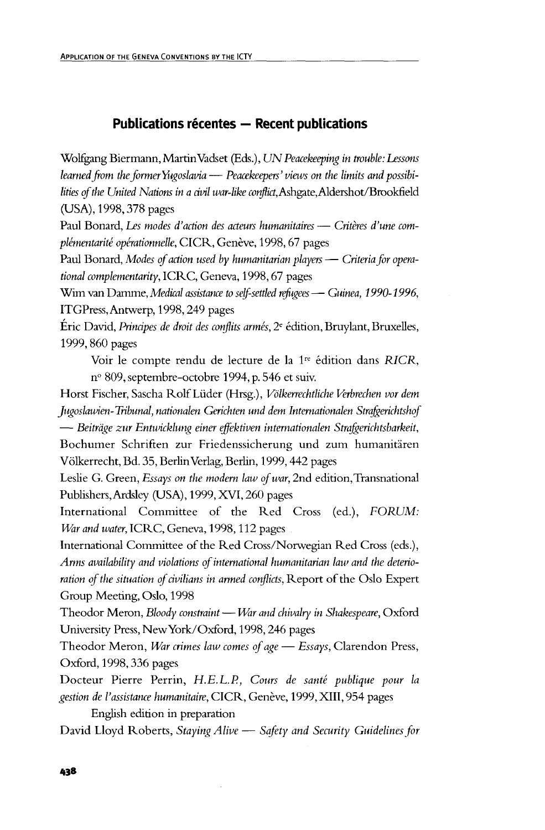## **Publications recentes — Recent publications**

Wolfgang Biermann, Martin Vadset (Eds.), *UN Peacekeeping in trouble: Lessons learned from the jormerYugoslavia*— *Peacekeepers' views on the limits and possibilities of the United Nations in a civil war-like conflict,* Ashgate,Aldershot/Brookfield (USA), 1998,378 pages

Paul Bonard, *Les modes d'action des acteurs humanitaires* — *Criteres d'une complémentarité opérationnelle, CICR, Genève, 1998, 67 pages* 

Paul Bonard, *Modes of action used by humanitarian players* — *Criteria for operational complementarity,* ICRC, Geneva, 1998,67 pages

Wim van Damme, *Medical assistance to self settled refugees* — *Guinea, 1990-1996,* ITGPress, Antwerp, 1998,249 pages

Eric David, *Printipes de droit des conflits armes,* 2<sup>e</sup> edition, Bruylant, Bruxelles, 1999,860 pages

Voir le compte rendu de lecture de la 1<sup>re</sup> édition dans RICR, n° 809, septembre-octobre 1994, p. 546 et suiv.

Horst Fischer, Sascha Rolf Liider (Hrsg.), *Volkerrechtliche Verbrechen vor dem Jugoslawien-Tribunal, nationalen Gerichten und dem Internationalen Strafgerichtshof*

— *Beitrdge zur Entwicklung einer effektiven internationalen Strafgerichtsbarkeit,* Bochumer Schriften zur Friedenssicherung und zum humanitaren Völkerrecht, Bd. 35, Berlin Verlag, Berlin, 1999, 442 pages

Leslie G. Green, *Essays on the modern law of war,* 2nd edition, Transnational Publishers, Ardsley (USA), 1999, XVI, 260 pages

International Committee of the Red Cross (ed.), *FORUM: War and water,* ICRC, Geneva, 1998,112 pages

International Committee of the Red Cross/Norwegian Red Cross (eds.), *Arms availability and violations of international humanitarian law and the deterioration of the situation of civilians in armed conflicts,* Report of the Oslo Expert Group Meeting, Oslo, 1998

Theodor Meron, *Bloody constraint* — *War and chivalry in Shakespeare,* Oxford University Press, New York/Oxford, 1998,246 pages

Theodor Meron, *War crimes law comes of age* — *Essays,* Clarendon Press, Oxford, 1998,336 pages

Docteur Pierre Perrin, *H.E.L.P, Cours de sante publique pour la gestion de Vassistance humanitaire,* CICR, Geneve, 1999, XIII, 954 pages

English edition in preparation

David Lloyd Roberts, *Staying Alive* — *Safety and Security Guidelines for*